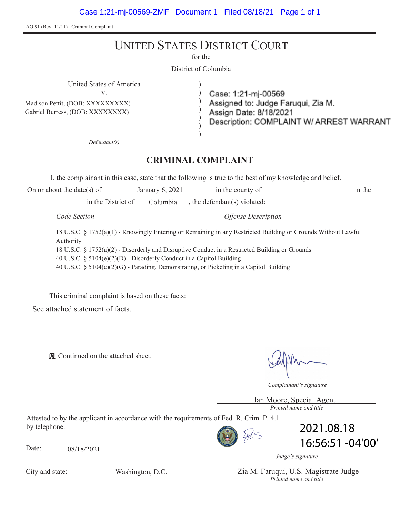AO 91 (Rev. 11/11) Criminal Complaint

# UNITED STATES DISTRICT COURT

for the

District of Columbia

) ) ) ) ) )

United States of America )

v.

Madison Pettit, (DOB: XXXXXXXXX) Gabriel Burress, (DOB: XXXXXXXX)

Case: 1:21-mj-00569 Assigned to: Judge Faruqui, Zia M. Assign Date: 8/18/2021 Description: COMPLAINT W/ ARREST WARRANT

*Defendant(s)*

### **CRIMINAL COMPLAINT**

I, the complainant in this case, state that the following is true to the best of my knowledge and belief.

On or about the date(s) of January 6, 2021 in the county of in the in the District of Columbia , the defendant(s) violated:

*Code Section Offense Description*

18 U.S.C. § 1752(a)(1) - Knowingly Entering or Remaining in any Restricted Building or Grounds Without Lawful Authority 18 U.S.C. § 1752(a)(2) - Disorderly and Disruptive Conduct in a Restricted Building or Grounds 40 U.S.C. § 5104(e)(2)(D) - Disorderly Conduct in a Capitol Building 40 U.S.C. § 5104(e)(2)(G) - Parading, Demonstrating, or Picketing in a Capitol Building

This criminal complaint is based on these facts:

See attached statement of facts.

**X** Continued on the attached sheet.

*Complainant's signature*

*Printed name and title* Ian Moore, Special Agent

Attested to by the applicant in accordance with the requirements of Fed. R. Crim. P. 4.1 by telephone.

Date: 08/18/2021



2021.08.18 16:56:51 -04'00'

*Judge's signature*

*Printed name and title* Zia M. Faruqui, U.S. Magistrate Judge

City and state:

Washington, D.C.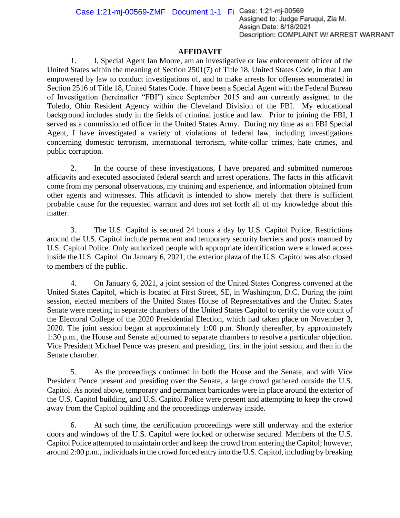Case 1:21-mj-00569-ZMF Document 1-1 Fi Case: 1:21-mj-00569<br>Assigned to: Judge Farugui, Zia M. Assign Date: 8/18/2021 Description: COMPLAINT W/ ARREST WARRANT

### **AFFIDAVIT**

1. I, Special Agent Ian Moore, am an investigative or law enforcement officer of the United States within the meaning of Section 2501(7) of Title 18, United States Code, in that I am empowered by law to conduct investigations of, and to make arrests for offenses enumerated in Section 2516 of Title 18, United States Code. I have been a Special Agent with the Federal Bureau of Investigation (hereinafter "FBI") since September 2015 and am currently assigned to the Toledo, Ohio Resident Agency within the Cleveland Division of the FBI. My educational background includes study in the fields of criminal justice and law. Prior to joining the FBI, I served as a commissioned officer in the United States Army. During my time as an FBI Special Agent, I have investigated a variety of violations of federal law, including investigations concerning domestic terrorism, international terrorism, white-collar crimes, hate crimes, and public corruption.

2. In the course of these investigations, I have prepared and submitted numerous affidavits and executed associated federal search and arrest operations. The facts in this affidavit come from my personal observations, my training and experience, and information obtained from other agents and witnesses. This affidavit is intended to show merely that there is sufficient probable cause for the requested warrant and does not set forth all of my knowledge about this matter.

3. The U.S. Capitol is secured 24 hours a day by U.S. Capitol Police. Restrictions around the U.S. Capitol include permanent and temporary security barriers and posts manned by U.S. Capitol Police. Only authorized people with appropriate identification were allowed access inside the U.S. Capitol. On January 6, 2021, the exterior plaza of the U.S. Capitol was also closed to members of the public.

4. On January 6, 2021, a joint session of the United States Congress convened at the United States Capitol, which is located at First Street, SE, in Washington, D.C. During the joint session, elected members of the United States House of Representatives and the United States Senate were meeting in separate chambers of the United States Capitol to certify the vote count of the Electoral College of the 2020 Presidential Election, which had taken place on November 3, 2020. The joint session began at approximately 1:00 p.m. Shortly thereafter, by approximately 1:30 p.m., the House and Senate adjourned to separate chambers to resolve a particular objection. Vice President Michael Pence was present and presiding, first in the joint session, and then in the Senate chamber.

5. As the proceedings continued in both the House and the Senate, and with Vice President Pence present and presiding over the Senate, a large crowd gathered outside the U.S. Capitol. As noted above, temporary and permanent barricades were in place around the exterior of the U.S. Capitol building, and U.S. Capitol Police were present and attempting to keep the crowd away from the Capitol building and the proceedings underway inside.

6. At such time, the certification proceedings were still underway and the exterior doors and windows of the U.S. Capitol were locked or otherwise secured. Members of the U.S. Capitol Police attempted to maintain order and keep the crowd from entering the Capitol; however, around 2:00 p.m., individuals in the crowd forced entry into the U.S. Capitol, including by breaking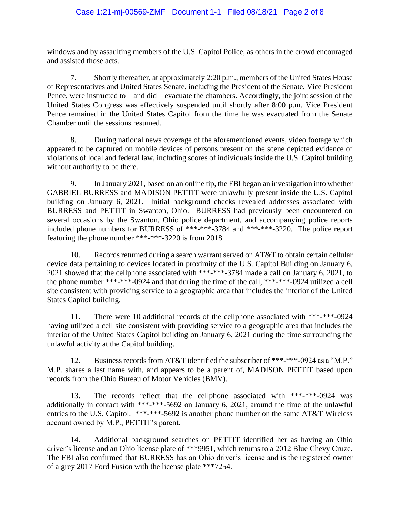windows and by assaulting members of the U.S. Capitol Police, as others in the crowd encouraged and assisted those acts.

7. Shortly thereafter, at approximately 2:20 p.m., members of the United States House of Representatives and United States Senate, including the President of the Senate, Vice President Pence, were instructed to—and did—evacuate the chambers. Accordingly, the joint session of the United States Congress was effectively suspended until shortly after 8:00 p.m. Vice President Pence remained in the United States Capitol from the time he was evacuated from the Senate Chamber until the sessions resumed.

8. During national news coverage of the aforementioned events, video footage which appeared to be captured on mobile devices of persons present on the scene depicted evidence of violations of local and federal law, including scores of individuals inside the U.S. Capitol building without authority to be there.

9. In January 2021, based on an online tip, the FBI began an investigation into whether GABRIEL BURRESS and MADISON PETTIT were unlawfully present inside the U.S. Capitol building on January 6, 2021. Initial background checks revealed addresses associated with BURRESS and PETTIT in Swanton, Ohio. BURRESS had previously been encountered on several occasions by the Swanton, Ohio police department, and accompanying police reports included phone numbers for BURRESS of \*\*\*-\*\*\*-3784 and \*\*\*-\*\*\*-3220. The police report featuring the phone number \*\*\*-\*\*\*-3220 is from 2018.

10. Records returned during a search warrant served on AT&T to obtain certain cellular device data pertaining to devices located in proximity of the U.S. Capitol Building on January 6, 2021 showed that the cellphone associated with \*\*\*-\*\*\*-3784 made a call on January 6, 2021, to the phone number \*\*\*-\*\*\*-0924 and that during the time of the call, \*\*\*-\*\*\*-0924 utilized a cell site consistent with providing service to a geographic area that includes the interior of the United States Capitol building.

11. There were 10 additional records of the cellphone associated with \*\*\*-\*\*\*-0924 having utilized a cell site consistent with providing service to a geographic area that includes the interior of the United States Capitol building on January 6, 2021 during the time surrounding the unlawful activity at the Capitol building.

12. Business records from AT&T identified the subscriber of \*\*\*-\*\*\*-0924 as a "M.P." M.P. shares a last name with, and appears to be a parent of, MADISON PETTIT based upon records from the Ohio Bureau of Motor Vehicles (BMV).

13. The records reflect that the cellphone associated with \*\*\*-\*\*\*-0924 was additionally in contact with \*\*\*-\*\*\*-5692 on January 6, 2021, around the time of the unlawful entries to the U.S. Capitol. \*\*\*-\*\*\*-5692 is another phone number on the same AT&T Wireless account owned by M.P., PETTIT's parent.

14. Additional background searches on PETTIT identified her as having an Ohio driver's license and an Ohio license plate of \*\*\*9951, which returns to a 2012 Blue Chevy Cruze. The FBI also confirmed that BURRESS has an Ohio driver's license and is the registered owner of a grey 2017 Ford Fusion with the license plate \*\*\*7254.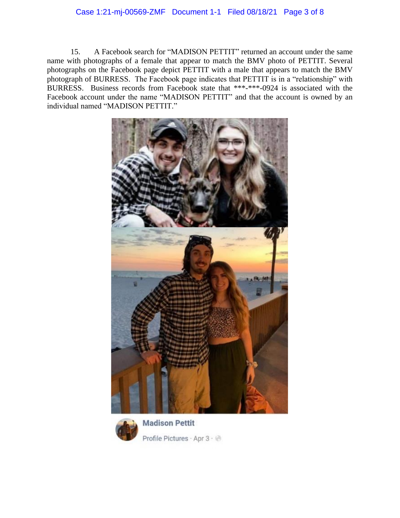## Case 1:21-mj-00569-ZMF Document 1-1 Filed 08/18/21 Page 3 of 8

15. A Facebook search for "MADISON PETTIT" returned an account under the same name with photographs of a female that appear to match the BMV photo of PETTIT. Several photographs on the Facebook page depict PETTIT with a male that appears to match the BMV photograph of BURRESS. The Facebook page indicates that PETTIT is in a "relationship" with BURRESS. Business records from Facebook state that \*\*\*-\*\*\*-0924 is associated with the Facebook account under the name "MADISON PETTIT" and that the account is owned by an individual named "MADISON PETTIT."





**Madison Pettit** Profile Pictures · Apr 3 · @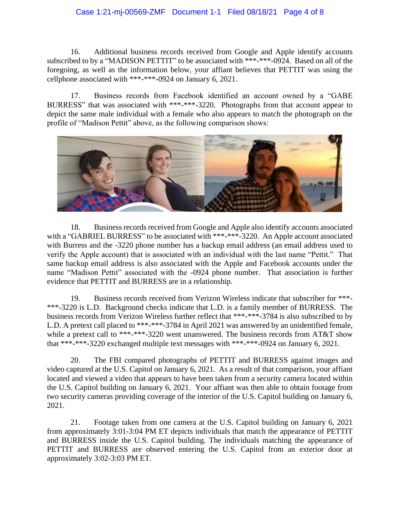#### Case 1:21-mj-00569-ZMF Document 1-1 Filed 08/18/21 Page 4 of 8

16. Additional business records received from Google and Apple identify accounts subscribed to by a "MADISON PETTIT" to be associated with \*\*\*-\*\*\*-0924. Based on all of the foregoing, as well as the information below, your affiant believes that PETTIT was using the cellphone associated with \*\*\*-\*\*\*-0924 on January 6, 2021.

17. Business records from Facebook identified an account owned by a "GABE BURRESS" that was associated with \*\*\*-\*\*\*-3220. Photographs from that account appear to depict the same male individual with a female who also appears to match the photograph on the profile of "Madison Pettit" above, as the following comparison shows:



18. Business records received from Google and Apple also identify accounts associated with a "GABRIEL BURRESS" to be associated with \*\*\*-\*\*\*-3220. An Apple account associated with Burress and the -3220 phone number has a backup email address (an email address used to verify the Apple account) that is associated with an individual with the last name "Pettit." That same backup email address is also associated with the Apple and Facebook accounts under the name "Madison Pettit" associated with the -0924 phone number. That association is further evidence that PETTIT and BURRESS are in a relationship.

19. Business records received from Verizon Wireless indicate that subscriber for \*\*\*- \*\*\*-3220 is L.D. Background checks indicate that L.D. is a family member of BURRESS. The business records from Verizon Wireless further reflect that \*\*\*-\*\*\*-3784 is also subscribed to by L.D. A pretext call placed to \*\*\*-\*\*\*-3784 in April 2021 was answered by an unidentified female, while a pretext call to \*\*\*-\*\*\*-3220 went unanswered. The business records from AT&T show that \*\*\*-\*\*\*-3220 exchanged multiple text messages with \*\*\*-\*\*\*-0924 on January 6, 2021.

20. The FBI compared photographs of PETTIT and BURRESS against images and video captured at the U.S. Capitol on January 6, 2021. As a result of that comparison, your affiant located and viewed a video that appears to have been taken from a security camera located within the U.S. Capitol building on January 6, 2021. Your affiant was then able to obtain footage from two security cameras providing coverage of the interior of the U.S. Capitol building on January 6, 2021.

21. Footage taken from one camera at the U.S. Capitol building on January 6, 2021 from approximately 3:01-3:04 PM ET depicts individuals that match the appearance of PETTIT and BURRESS inside the U.S. Capitol building. The individuals matching the appearance of PETTIT and BURRESS are observed entering the U.S. Capitol from an exterior door at approximately 3:02-3:03 PM ET.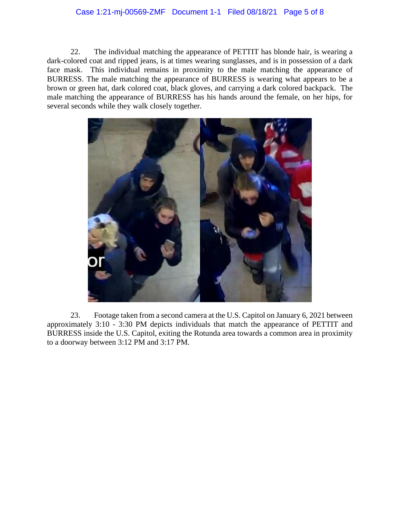### Case 1:21-mj-00569-ZMF Document 1-1 Filed 08/18/21 Page 5 of 8

22. The individual matching the appearance of PETTIT has blonde hair, is wearing a dark-colored coat and ripped jeans, is at times wearing sunglasses, and is in possession of a dark face mask. This individual remains in proximity to the male matching the appearance of BURRESS. The male matching the appearance of BURRESS is wearing what appears to be a brown or green hat, dark colored coat, black gloves, and carrying a dark colored backpack. The male matching the appearance of BURRESS has his hands around the female, on her hips, for several seconds while they walk closely together.



23. Footage taken from a second camera at the U.S. Capitol on January 6, 2021 between approximately 3:10 - 3:30 PM depicts individuals that match the appearance of PETTIT and BURRESS inside the U.S. Capitol, exiting the Rotunda area towards a common area in proximity to a doorway between 3:12 PM and 3:17 PM.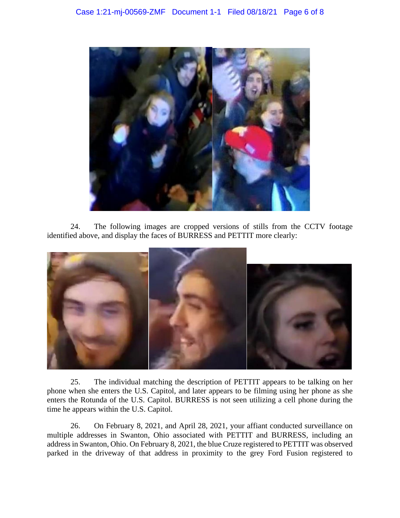

24. The following images are cropped versions of stills from the CCTV footage identified above, and display the faces of BURRESS and PETTIT more clearly:



25. The individual matching the description of PETTIT appears to be talking on her phone when she enters the U.S. Capitol, and later appears to be filming using her phone as she enters the Rotunda of the U.S. Capitol. BURRESS is not seen utilizing a cell phone during the time he appears within the U.S. Capitol.

26. On February 8, 2021, and April 28, 2021, your affiant conducted surveillance on multiple addresses in Swanton, Ohio associated with PETTIT and BURRESS, including an address in Swanton, Ohio. On February 8, 2021, the blue Cruze registered to PETTIT was observed parked in the driveway of that address in proximity to the grey Ford Fusion registered to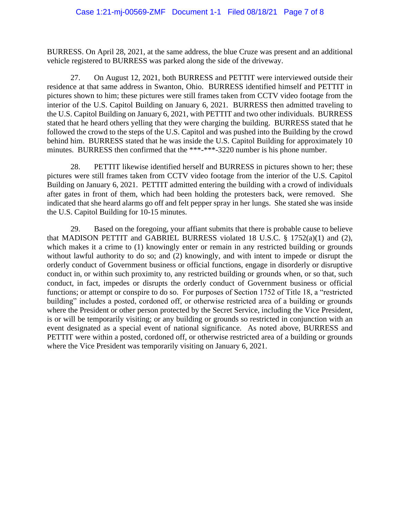BURRESS. On April 28, 2021, at the same address, the blue Cruze was present and an additional vehicle registered to BURRESS was parked along the side of the driveway.

27. On August 12, 2021, both BURRESS and PETTIT were interviewed outside their residence at that same address in Swanton, Ohio. BURRESS identified himself and PETTIT in pictures shown to him; these pictures were still frames taken from CCTV video footage from the interior of the U.S. Capitol Building on January 6, 2021. BURRESS then admitted traveling to the U.S. Capitol Building on January 6, 2021, with PETTIT and two other individuals. BURRESS stated that he heard others yelling that they were charging the building. BURRESS stated that he followed the crowd to the steps of the U.S. Capitol and was pushed into the Building by the crowd behind him. BURRESS stated that he was inside the U.S. Capitol Building for approximately 10 minutes. BURRESS then confirmed that the \*\*\*-\*\*\*-3220 number is his phone number.

28. PETTIT likewise identified herself and BURRESS in pictures shown to her; these pictures were still frames taken from CCTV video footage from the interior of the U.S. Capitol Building on January 6, 2021. PETTIT admitted entering the building with a crowd of individuals after gates in front of them, which had been holding the protesters back, were removed. She indicated that she heard alarms go off and felt pepper spray in her lungs. She stated she was inside the U.S. Capitol Building for 10-15 minutes.

29. Based on the foregoing, your affiant submits that there is probable cause to believe that MADISON PETTIT and GABRIEL BURRESS violated 18 U.S.C. § 1752(a)(1) and (2), which makes it a crime to (1) knowingly enter or remain in any restricted building or grounds without lawful authority to do so; and (2) knowingly, and with intent to impede or disrupt the orderly conduct of Government business or official functions, engage in disorderly or disruptive conduct in, or within such proximity to, any restricted building or grounds when, or so that, such conduct, in fact, impedes or disrupts the orderly conduct of Government business or official functions; or attempt or conspire to do so. For purposes of Section 1752 of Title 18, a "restricted building" includes a posted, cordoned off, or otherwise restricted area of a building or grounds where the President or other person protected by the Secret Service, including the Vice President, is or will be temporarily visiting; or any building or grounds so restricted in conjunction with an event designated as a special event of national significance. As noted above, BURRESS and PETTIT were within a posted, cordoned off, or otherwise restricted area of a building or grounds where the Vice President was temporarily visiting on January 6, 2021.